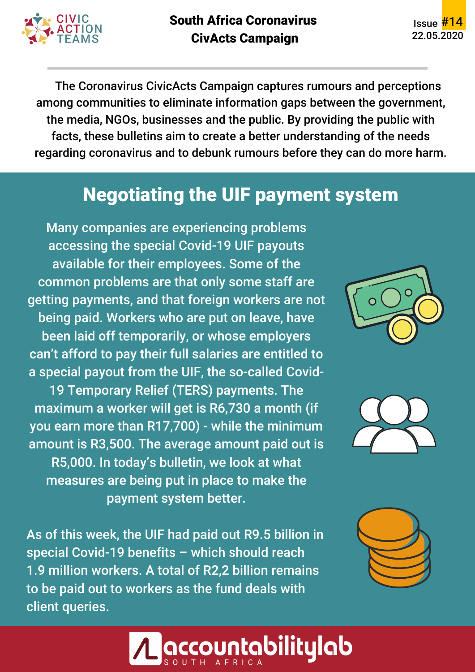

South Africa Coronavirus CivActs Campaign

Issue #14 22.05.2020

The Coronavirus CivicActs Campaign captures rumours and perceptions among communities to eliminate information gaps between the government, the media, NGOs, businesses and the public. By providing the public with facts, these bulletins aim to create a better understanding of the needs regarding coronavirus and to debunk rumours before they can do more harm.

# Negotiating the UIF payment system

Many companies are experiencing problems accessing the special Covid-19 UIF payouts available for their employees. Some of the common problems are that only some staff are getting payments, and that foreign workers are not being paid. Workers who are put on leave, have been laid off temporarily, or whose employers can't afford to pay their full salaries are entitled to a special payout from the UIF, the so-called Covid-19 Temporary Relief (TERS) payments. The maximum a worker will get is R6,730 a month (if you earn more than R17,700) - while the minimum amount is R3,500. The average amount paid out is R5,000. In today's bulletin, we look at what measures are being put in place to make the payment system better.

As of this week, the UIF had paid out R9.5 billion in special Covid-19 benefits – which should reach 1.9 million workers. A total of R2,2 billion remains to be paid out to workers as the fund deals with client queries.







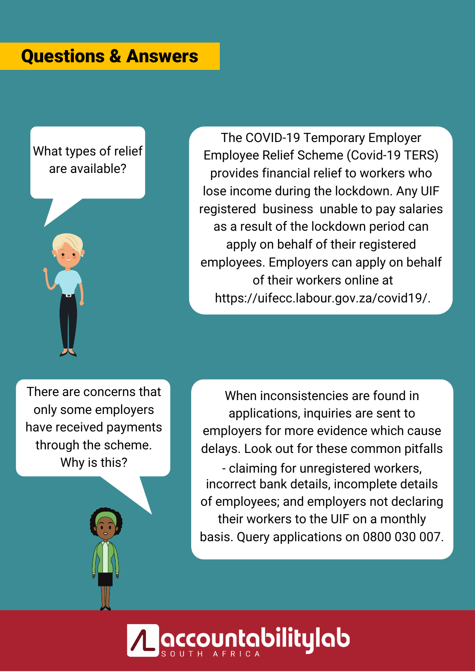## Questions & Answers

#### What types of relief are available?



The COVID-19 Temporary Employer Employee Relief Scheme (Covid-19 TERS) provides financial relief to workers who lose income during the lockdown. Any UIF registered business unable to pay salaries as a result of the lockdown period can apply on behalf of their registered employees. Employers can apply on behalf of their workers online at https://uifecc.labour.gov.za/covid19/.

There are concerns that only some employers have received payments through the scheme. Why is this?

When inconsistencies are found in applications, inquiries are sent to employers for more evidence which cause delays. Look out for these common pitfalls - claiming for unregistered workers, incorrect bank details, incomplete details of employees; and employers not declaring their workers to the UIF on a monthly basis. Query applications on 0800 030 007.

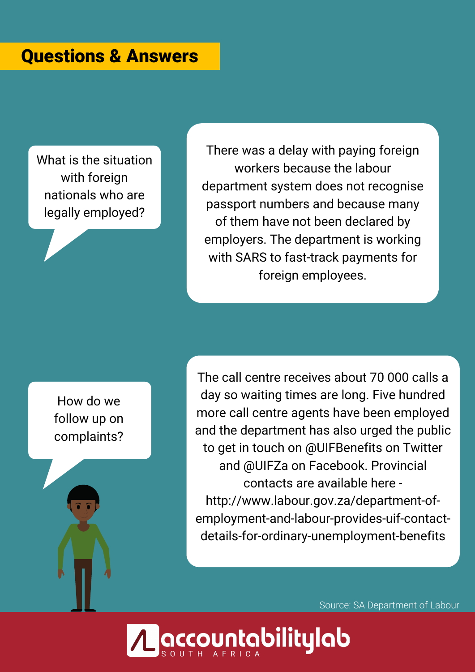### Questions & Answers

What is the situation with foreign nationals who are legally employed?

There was a delay with paying foreign workers because the labour department system does not recognise passport numbers and because many of them have not been declared by employers. The department is working with SARS to fast-track payments for foreign employees.

How do we follow up on complaints?

The call centre receives about 70 000 calls a day so waiting times are long. Five hundred more call centre agents have been employed and the department has also urged the public to get in touch on @UIFBenefits on Twitter and @UIFZa on Facebook. Provincial contacts are available here http://www.labour.gov.za/department-ofemployment-and-labour-provides-uif-contactdetails-for-ordinary-unemployment-benefits

Source: SA Department of Labour

**puntabilitylab:**